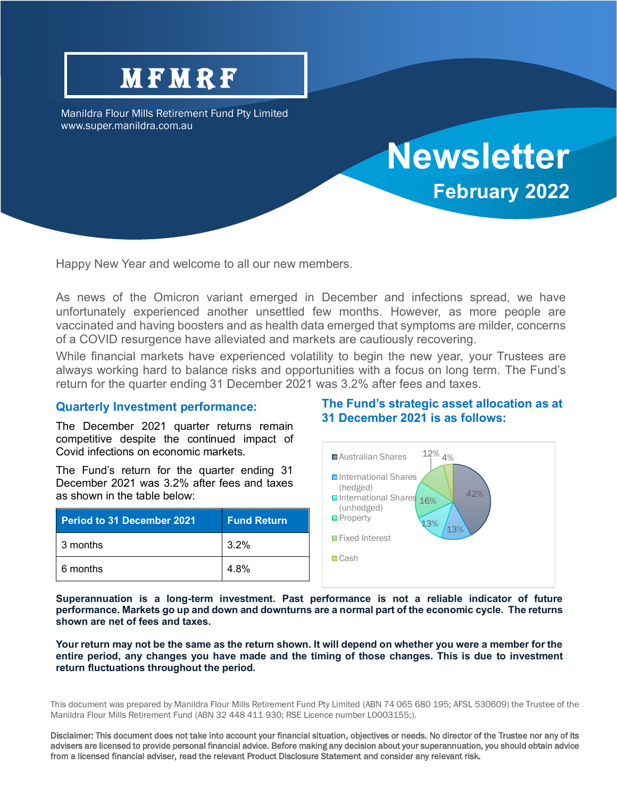## **MFMRF**

Manildra Flour Mills Retirement Fund Pty Limited www.super.manildra.com.au

# **Newsletter February 2022**

Happy New Year and welcome to all our new members.

As news of the Omicron variant emerged in December and infections spread, we have unfortunately experienced another unsettled few months. However, as more people are vaccinated and having boosters and as health data emerged that symptoms are milder, concerns of a COVID resurgence have alleviated and markets are cautiously recovering.

While financial markets have experienced volatility to begin the new year, your Trustees are always working hard to balance risks and opportunities with a focus on long term. The Fund's return for the quarter ending 31 December 2021 was 3.2% after fees and taxes.

#### **Quarterly Investment performance:**

The December 2021 quarter returns remain competitive despite the continued impact of Covid infections on economic markets.

The Fund's return for the quarter ending 31 December 2021 was 3.2% after fees and taxes as shown in the table below:

| <b>Period to 31 December 2021</b> | <b>Fund Return</b> |
|-----------------------------------|--------------------|
| 3 months                          | $3.2\%$            |
| 6 months                          | 4.8%               |

#### **The Fund's strategic asset allocation as at 31 December 2021 is as follows:**



**Superannuation is a long-term investment. Past performance is not a reliable indicator of future performance. Markets go up and down and downturns are a normal part of the economic cycle. The returns shown are net of fees and taxes.**

**Your return may not be the same as the return shown. It will depend on whether you were a member for the entire period, any changes you have made and the timing of those changes. This is due to investment return fluctuations throughout the period.**

This document was prepared by Manildra Flour Mills Retirement Fund Pty Limited (ABN 74 065 680 195; AFSL 530609) the Trustee of the Manildra Flour Mills Retirement Fund (ABN 32 448 411 930; RSE Licence number L0003155;).

Disclaimer: This document does not take into account your financial situation, objectives or needs. No director of the Trustee nor any of its advisers are licensed to provide personal financial advice. Before making any decision about your superannuation, you should obtain advice from a licensed financial adviser, read the relevant Product Disclosure Statement and consider any relevant risk.